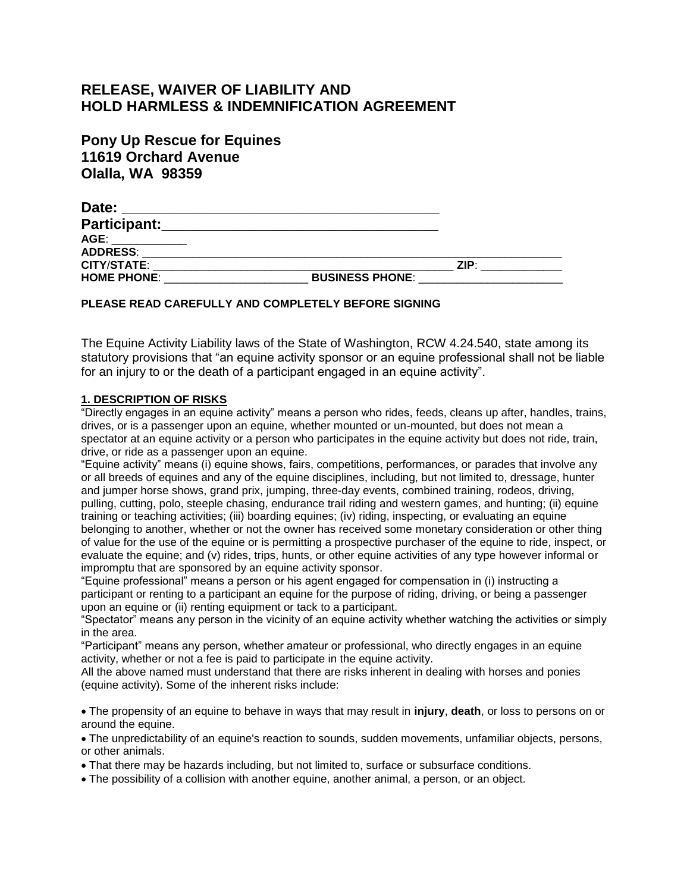# **RELEASE, WAIVER OF LIABILITY AND HOLD HARMLESS & INDEMNIFICATION AGREEMENT**

| <b>Pony Up Rescue for Equines</b> |
|-----------------------------------|
| <b>11619 Orchard Avenue</b>       |
| <b>Olalla, WA 98359</b>           |

| Date:              |                        |      |
|--------------------|------------------------|------|
| Participant:       |                        |      |
| AGE:               |                        |      |
| <b>ADDRESS:</b>    |                        |      |
| <b>CITY/STATE:</b> |                        | ZIP· |
| <b>HOME PHONE:</b> | <b>BUSINESS PHONE:</b> |      |

## **PLEASE READ CAREFULLY AND COMPLETELY BEFORE SIGNING**

The Equine Activity Liability laws of the State of Washington, RCW 4.24.540, state among its statutory provisions that "an equine activity sponsor or an equine professional shall not be liable for an injury to or the death of a participant engaged in an equine activity".

# **1. DESCRIPTION OF RISKS**

"Directly engages in an equine activity" means a person who rides, feeds, cleans up after, handles, trains, drives, or is a passenger upon an equine, whether mounted or un-mounted, but does not mean a spectator at an equine activity or a person who participates in the equine activity but does not ride, train, drive, or ride as a passenger upon an equine.

"Equine activity" means (i) equine shows, fairs, competitions, performances, or parades that involve any or all breeds of equines and any of the equine disciplines, including, but not limited to, dressage, hunter and jumper horse shows, grand prix, jumping, three-day events, combined training, rodeos, driving, pulling, cutting, polo, steeple chasing, endurance trail riding and western games, and hunting; (ii) equine training or teaching activities; (iii) boarding equines; (iv) riding, inspecting, or evaluating an equine belonging to another, whether or not the owner has received some monetary consideration or other thing of value for the use of the equine or is permitting a prospective purchaser of the equine to ride, inspect, or evaluate the equine; and (v) rides, trips, hunts, or other equine activities of any type however informal or impromptu that are sponsored by an equine activity sponsor.

"Equine professional" means a person or his agent engaged for compensation in (i) instructing a participant or renting to a participant an equine for the purpose of riding, driving, or being a passenger upon an equine or (ii) renting equipment or tack to a participant.

"Spectator" means any person in the vicinity of an equine activity whether watching the activities or simply in the area.

"Participant" means any person, whether amateur or professional, who directly engages in an equine activity, whether or not a fee is paid to participate in the equine activity.

All the above named must understand that there are risks inherent in dealing with horses and ponies (equine activity). Some of the inherent risks include:

The propensity of an equine to behave in ways that may result in **injury**, **death**, or loss to persons on or around the equine.

The unpredictability of an equine's reaction to sounds, sudden movements, unfamiliar objects, persons, or other animals.

That there may be hazards including, but not limited to, surface or subsurface conditions.

The possibility of a collision with another equine, another animal, a person, or an object.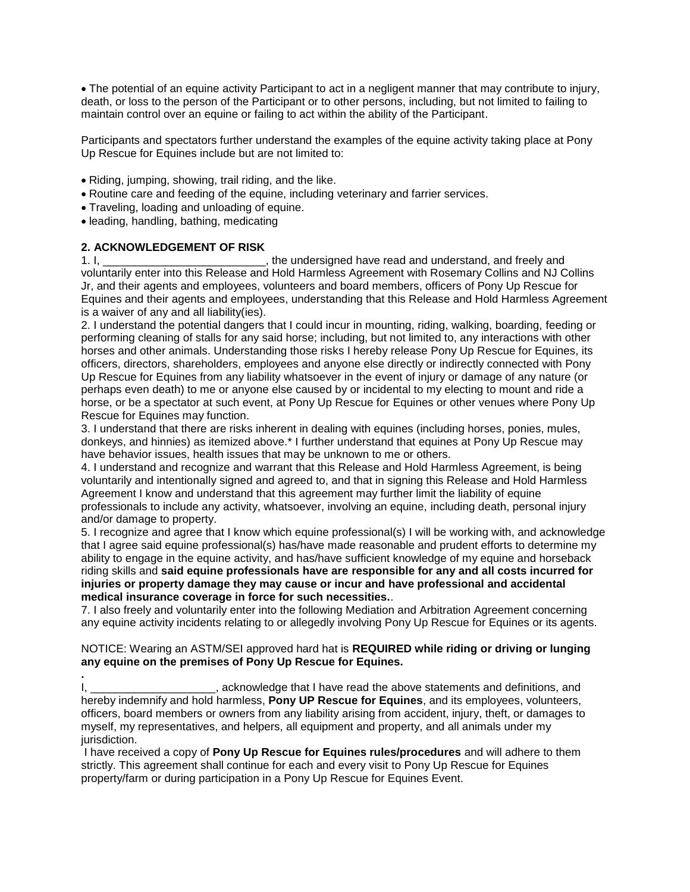The potential of an equine activity Participant to act in a negligent manner that may contribute to injury, death, or loss to the person of the Participant or to other persons, including, but not limited to failing to maintain control over an equine or failing to act within the ability of the Participant.

Participants and spectators further understand the examples of the equine activity taking place at Pony Up Rescue for Equines include but are not limited to:

- Riding, jumping, showing, trail riding, and the like.
- Routine care and feeding of the equine, including veterinary and farrier services.
- Traveling, loading and unloading of equine.

• leading, handling, bathing, medicating

## **2. ACKNOWLEDGEMENT OF RISK**

1. I, \_\_\_\_\_\_\_\_\_\_\_\_\_\_\_\_\_\_\_\_\_\_\_\_\_\_, the undersigned have read and understand, and freely and voluntarily enter into this Release and Hold Harmless Agreement with Rosemary Collins and NJ Collins Jr, and their agents and employees, volunteers and board members, officers of Pony Up Rescue for Equines and their agents and employees, understanding that this Release and Hold Harmless Agreement is a waiver of any and all liability(ies).

2. I understand the potential dangers that I could incur in mounting, riding, walking, boarding, feeding or performing cleaning of stalls for any said horse; including, but not limited to, any interactions with other horses and other animals. Understanding those risks I hereby release Pony Up Rescue for Equines, its officers, directors, shareholders, employees and anyone else directly or indirectly connected with Pony Up Rescue for Equines from any liability whatsoever in the event of injury or damage of any nature (or perhaps even death) to me or anyone else caused by or incidental to my electing to mount and ride a horse, or be a spectator at such event, at Pony Up Rescue for Equines or other venues where Pony Up Rescue for Equines may function.

3. I understand that there are risks inherent in dealing with equines (including horses, ponies, mules, donkeys, and hinnies) as itemized above.\* I further understand that equines at Pony Up Rescue may have behavior issues, health issues that may be unknown to me or others.

4. I understand and recognize and warrant that this Release and Hold Harmless Agreement, is being voluntarily and intentionally signed and agreed to, and that in signing this Release and Hold Harmless Agreement I know and understand that this agreement may further limit the liability of equine professionals to include any activity, whatsoever, involving an equine, including death, personal injury and/or damage to property.

5. I recognize and agree that I know which equine professional(s) I will be working with, and acknowledge that I agree said equine professional(s) has/have made reasonable and prudent efforts to determine my ability to engage in the equine activity, and has/have sufficient knowledge of my equine and horseback riding skills and **said equine professionals have are responsible for any and all costs incurred for injuries or property damage they may cause or incur and have professional and accidental medical insurance coverage in force for such necessities.**.

7. I also freely and voluntarily enter into the following Mediation and Arbitration Agreement concerning any equine activity incidents relating to or allegedly involving Pony Up Rescue for Equines or its agents.

#### NOTICE: Wearing an ASTM/SEI approved hard hat is **REQUIRED while riding or driving or lunging any equine on the premises of Pony Up Rescue for Equines.**

**.** I, \_\_\_\_\_\_\_\_\_\_\_\_\_\_\_\_\_\_\_\_\_\_, acknowledge that I have read the above statements and definitions, and hereby indemnify and hold harmless, **Pony UP Rescue for Equines**, and its employees, volunteers, officers, board members or owners from any liability arising from accident, injury, theft, or damages to myself, my representatives, and helpers, all equipment and property, and all animals under my jurisdiction.

I have received a copy of **Pony Up Rescue for Equines rules/procedures** and will adhere to them strictly. This agreement shall continue for each and every visit to Pony Up Rescue for Equines property/farm or during participation in a Pony Up Rescue for Equines Event.